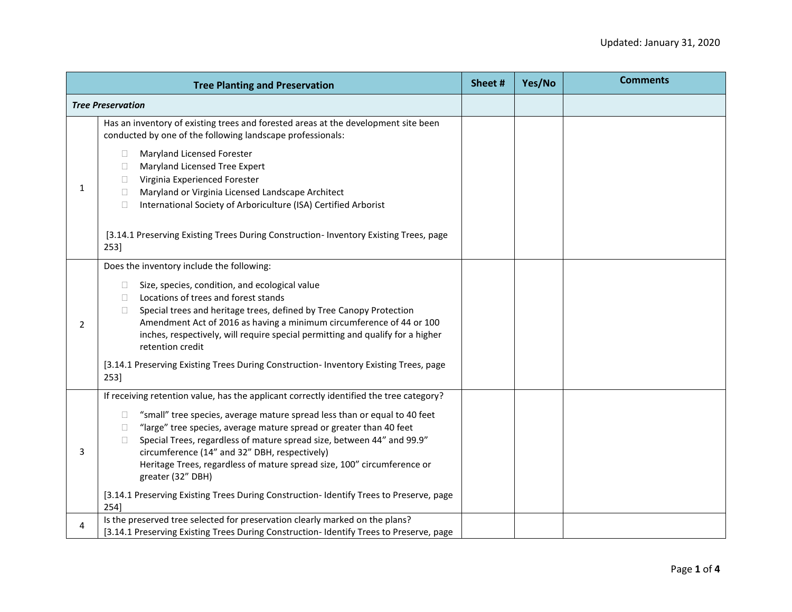|   | <b>Tree Planting and Preservation</b>                                                                                                                                                                                                                                                                                                                                                                                                                                                                                                                                                                   | Sheet # | Yes/No | <b>Comments</b> |
|---|---------------------------------------------------------------------------------------------------------------------------------------------------------------------------------------------------------------------------------------------------------------------------------------------------------------------------------------------------------------------------------------------------------------------------------------------------------------------------------------------------------------------------------------------------------------------------------------------------------|---------|--------|-----------------|
|   | <b>Tree Preservation</b>                                                                                                                                                                                                                                                                                                                                                                                                                                                                                                                                                                                |         |        |                 |
| 1 | Has an inventory of existing trees and forested areas at the development site been<br>conducted by one of the following landscape professionals:                                                                                                                                                                                                                                                                                                                                                                                                                                                        |         |        |                 |
|   | Maryland Licensed Forester<br>$\Box$<br>Maryland Licensed Tree Expert<br>Ш<br>Virginia Experienced Forester<br>Ш<br>Maryland or Virginia Licensed Landscape Architect<br>П<br>International Society of Arboriculture (ISA) Certified Arborist<br>П                                                                                                                                                                                                                                                                                                                                                      |         |        |                 |
|   | [3.14.1 Preserving Existing Trees During Construction- Inventory Existing Trees, page<br>253]                                                                                                                                                                                                                                                                                                                                                                                                                                                                                                           |         |        |                 |
| 2 | Does the inventory include the following:<br>Size, species, condition, and ecological value<br>$\Box$<br>Locations of trees and forest stands<br>$\mathbf{L}$<br>Special trees and heritage trees, defined by Tree Canopy Protection<br>$\Box$<br>Amendment Act of 2016 as having a minimum circumference of 44 or 100<br>inches, respectively, will require special permitting and qualify for a higher<br>retention credit<br>[3.14.1 Preserving Existing Trees During Construction- Inventory Existing Trees, page<br>253]                                                                           |         |        |                 |
| 3 | If receiving retention value, has the applicant correctly identified the tree category?<br>"small" tree species, average mature spread less than or equal to 40 feet<br>$\Box$<br>"large" tree species, average mature spread or greater than 40 feet<br>$\Box$<br>Special Trees, regardless of mature spread size, between 44" and 99.9"<br>$\Box$<br>circumference (14" and 32" DBH, respectively)<br>Heritage Trees, regardless of mature spread size, 100" circumference or<br>greater (32" DBH)<br>[3.14.1 Preserving Existing Trees During Construction- Identify Trees to Preserve, page<br>254] |         |        |                 |
| 4 | Is the preserved tree selected for preservation clearly marked on the plans?<br>[3.14.1 Preserving Existing Trees During Construction-Identify Trees to Preserve, page                                                                                                                                                                                                                                                                                                                                                                                                                                  |         |        |                 |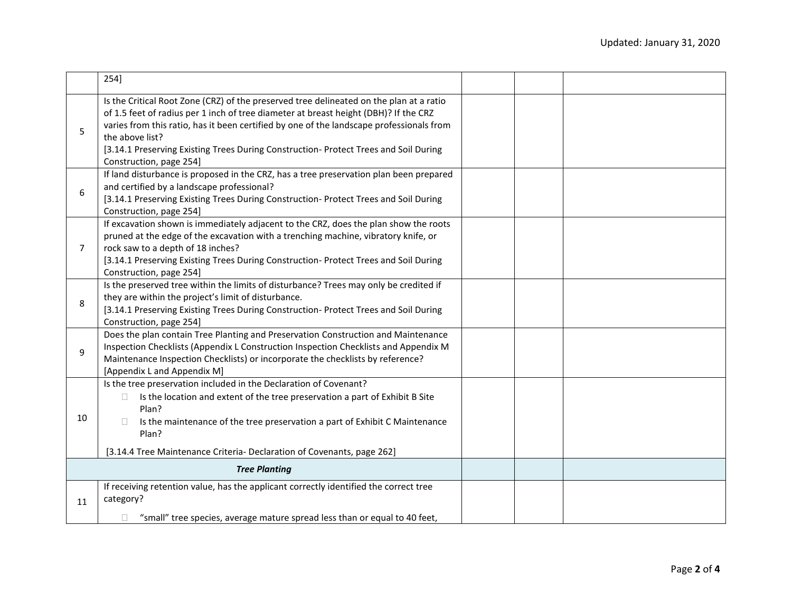|                | 254]                                                                                                                                                                                                                                                                                                                                                                                                              |  |  |
|----------------|-------------------------------------------------------------------------------------------------------------------------------------------------------------------------------------------------------------------------------------------------------------------------------------------------------------------------------------------------------------------------------------------------------------------|--|--|
| 5              | Is the Critical Root Zone (CRZ) of the preserved tree delineated on the plan at a ratio<br>of 1.5 feet of radius per 1 inch of tree diameter at breast height (DBH)? If the CRZ<br>varies from this ratio, has it been certified by one of the landscape professionals from<br>the above list?<br>[3.14.1 Preserving Existing Trees During Construction- Protect Trees and Soil During<br>Construction, page 254] |  |  |
| 6              | If land disturbance is proposed in the CRZ, has a tree preservation plan been prepared<br>and certified by a landscape professional?<br>[3.14.1 Preserving Existing Trees During Construction- Protect Trees and Soil During<br>Construction, page 254]                                                                                                                                                           |  |  |
| $\overline{7}$ | If excavation shown is immediately adjacent to the CRZ, does the plan show the roots<br>pruned at the edge of the excavation with a trenching machine, vibratory knife, or<br>rock saw to a depth of 18 inches?<br>[3.14.1 Preserving Existing Trees During Construction- Protect Trees and Soil During<br>Construction, page 254]                                                                                |  |  |
| 8              | Is the preserved tree within the limits of disturbance? Trees may only be credited if<br>they are within the project's limit of disturbance.<br>[3.14.1 Preserving Existing Trees During Construction- Protect Trees and Soil During<br>Construction, page 254]                                                                                                                                                   |  |  |
| 9              | Does the plan contain Tree Planting and Preservation Construction and Maintenance<br>Inspection Checklists (Appendix L Construction Inspection Checklists and Appendix M<br>Maintenance Inspection Checklists) or incorporate the checklists by reference?<br>[Appendix L and Appendix M]                                                                                                                         |  |  |
| 10             | Is the tree preservation included in the Declaration of Covenant?<br>Is the location and extent of the tree preservation a part of Exhibit B Site<br>$\Box$<br>Plan?<br>Is the maintenance of the tree preservation a part of Exhibit C Maintenance<br>$\mathbf{L}$<br>Plan?<br>[3.14.4 Tree Maintenance Criteria- Declaration of Covenants, page 262]                                                            |  |  |
|                | <b>Tree Planting</b>                                                                                                                                                                                                                                                                                                                                                                                              |  |  |
| 11             | If receiving retention value, has the applicant correctly identified the correct tree<br>category?<br>"small" tree species, average mature spread less than or equal to 40 feet,<br>$\Box$                                                                                                                                                                                                                        |  |  |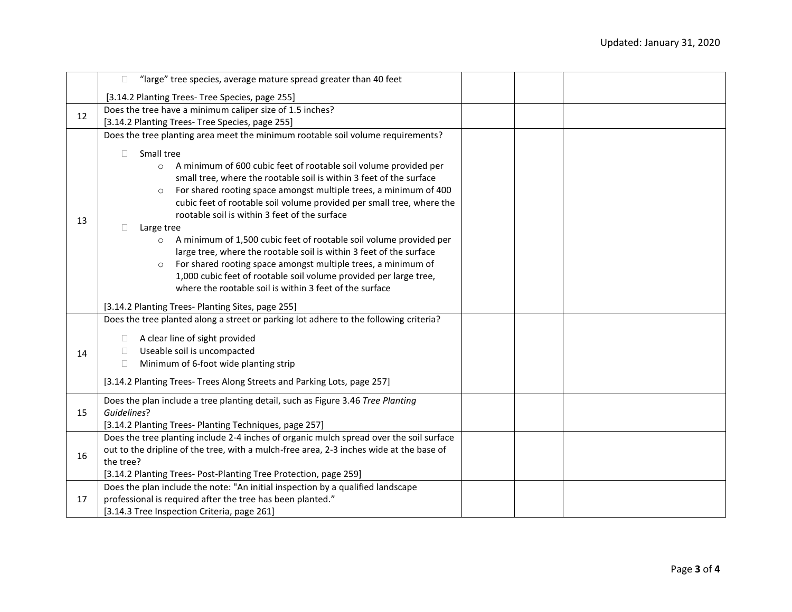|    | "large" tree species, average mature spread greater than 40 feet<br>$\Box$                                                                                                                                                                                                                                                                                                                                                                                                                                                                                                                                                                                                                                                                                                                                         |  |  |
|----|--------------------------------------------------------------------------------------------------------------------------------------------------------------------------------------------------------------------------------------------------------------------------------------------------------------------------------------------------------------------------------------------------------------------------------------------------------------------------------------------------------------------------------------------------------------------------------------------------------------------------------------------------------------------------------------------------------------------------------------------------------------------------------------------------------------------|--|--|
|    | [3.14.2 Planting Trees- Tree Species, page 255]                                                                                                                                                                                                                                                                                                                                                                                                                                                                                                                                                                                                                                                                                                                                                                    |  |  |
| 12 | Does the tree have a minimum caliper size of 1.5 inches?                                                                                                                                                                                                                                                                                                                                                                                                                                                                                                                                                                                                                                                                                                                                                           |  |  |
|    | [3.14.2 Planting Trees- Tree Species, page 255]                                                                                                                                                                                                                                                                                                                                                                                                                                                                                                                                                                                                                                                                                                                                                                    |  |  |
|    | Does the tree planting area meet the minimum rootable soil volume requirements?                                                                                                                                                                                                                                                                                                                                                                                                                                                                                                                                                                                                                                                                                                                                    |  |  |
| 13 | Small tree<br>П<br>o A minimum of 600 cubic feet of rootable soil volume provided per<br>small tree, where the rootable soil is within 3 feet of the surface<br>For shared rooting space amongst multiple trees, a minimum of 400<br>$\circ$<br>cubic feet of rootable soil volume provided per small tree, where the<br>rootable soil is within 3 feet of the surface<br>Large tree<br>Ш<br>A minimum of 1,500 cubic feet of rootable soil volume provided per<br>$\circ$<br>large tree, where the rootable soil is within 3 feet of the surface<br>For shared rooting space amongst multiple trees, a minimum of<br>$\circ$<br>1,000 cubic feet of rootable soil volume provided per large tree,<br>where the rootable soil is within 3 feet of the surface<br>[3.14.2 Planting Trees- Planting Sites, page 255] |  |  |
| 14 | Does the tree planted along a street or parking lot adhere to the following criteria?<br>A clear line of sight provided<br>$\Box$<br>Useable soil is uncompacted<br>$\Box$<br>Minimum of 6-foot wide planting strip<br>$\Box$<br>[3.14.2 Planting Trees- Trees Along Streets and Parking Lots, page 257]                                                                                                                                                                                                                                                                                                                                                                                                                                                                                                           |  |  |
| 15 | Does the plan include a tree planting detail, such as Figure 3.46 Tree Planting<br>Guidelines?<br>[3.14.2 Planting Trees- Planting Techniques, page 257]                                                                                                                                                                                                                                                                                                                                                                                                                                                                                                                                                                                                                                                           |  |  |
| 16 | Does the tree planting include 2-4 inches of organic mulch spread over the soil surface<br>out to the dripline of the tree, with a mulch-free area, 2-3 inches wide at the base of<br>the tree?<br>[3.14.2 Planting Trees- Post-Planting Tree Protection, page 259]                                                                                                                                                                                                                                                                                                                                                                                                                                                                                                                                                |  |  |
| 17 | Does the plan include the note: "An initial inspection by a qualified landscape<br>professional is required after the tree has been planted."<br>[3.14.3 Tree Inspection Criteria, page 261]                                                                                                                                                                                                                                                                                                                                                                                                                                                                                                                                                                                                                       |  |  |